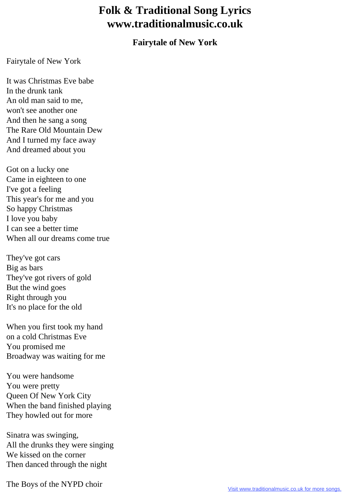## **Folk & Traditional Song Lyrics www.traditionalmusic.co.uk**

## **Fairytale of New York**

Fairytale of New York

It was Christmas Eve babe In the drunk tank An old man said to me, won't see another one And then he sang a song The Rare Old Mountain Dew And I turned my face away And dreamed about you

Got on a lucky one Came in eighteen to one I've got a feeling This year's for me and you So happy Christmas I love you baby I can see a better time When all our dreams come true

They've got cars Big as bars They've got rivers of gold But the wind goes Right through you It's no place for the old

When you first took my hand on a cold Christmas Eve You promised me Broadway was waiting for me

You were handsome You were pretty Queen Of New York City When the band finished playing They howled out for more

Sinatra was swinging, All the drunks they were singing We kissed on the corner Then danced through the night

The Boys of the NYPD choir